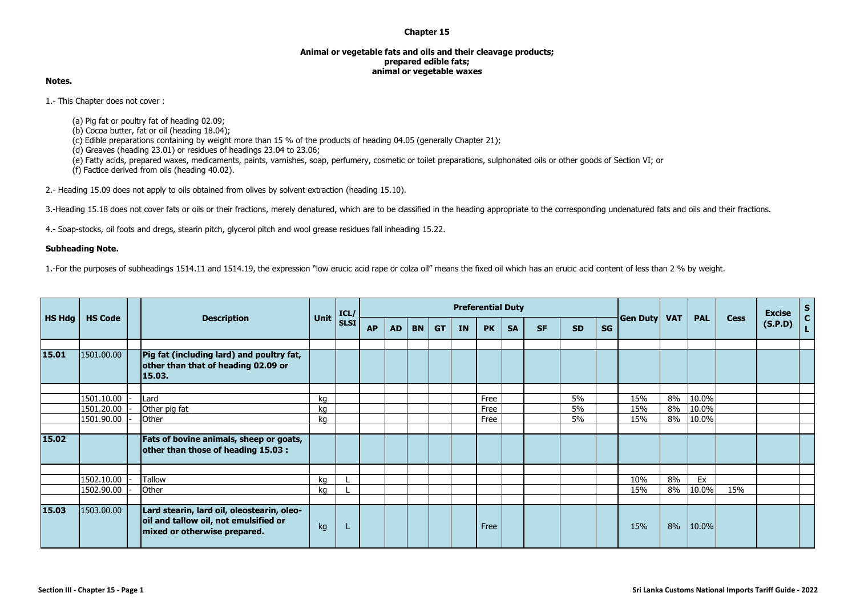## **Chapter 15**

## **Animal or vegetable fats and oils and their cleavage products; prepared edible fats; animal or vegetable waxes**

## **Notes.**

1.- This Chapter does not cover :

(a) Pig fat or poultry fat of heading 02.09;

(b) Cocoa butter, fat or oil (heading 18.04);

(c) Edible preparations containing by weight more than 15 % of the products of heading 04.05 (generally Chapter 21);

 $(d)$  Greaves (heading 23.01) or residues of headings 23.04 to 23.06;

(e) Fatty acids, prepared waxes, medicaments, paints, varnishes, soap, perfumery, cosmetic or toilet preparations, sulphonated oils or other goods of Section VI; or

(f) Factice derived from oils (heading 40.02).

2.- Heading 15.09 does not apply to oils obtained from olives by solvent extraction (heading 15.10).

3.-Heading 15.18 does not cover fats or oils or their fractions, merely denatured, which are to be classified in the heading appropriate to the corresponding undenatured fats and oils and their fractions.

4.- Soap-stocks, oil foots and dregs, stearin pitch, glycerol pitch and wool grease residues fall inheading 15.22.

## **Subheading Note.**

1.-For the purposes of subheadings 1514.11 and 1514.19, the expression "low erucic acid rape or colza oil" means the fixed oil which has an erucic acid content of less than 2 % by weight.

|               |                          |                                                                                                                     |          | ICL/        |           |           |           |           |    | <b>Preferential Duty</b> |           |           |           |           |            |            |                |             | <b>Excise</b> | S<br>$\mathbf{c}$ |
|---------------|--------------------------|---------------------------------------------------------------------------------------------------------------------|----------|-------------|-----------|-----------|-----------|-----------|----|--------------------------|-----------|-----------|-----------|-----------|------------|------------|----------------|-------------|---------------|-------------------|
| <b>HS Hdg</b> | <b>HS Code</b>           | <b>Description</b>                                                                                                  | Unit     | <b>SLSI</b> | <b>AP</b> | <b>AD</b> | <b>BN</b> | <b>GT</b> | IN | <b>PK</b>                | <b>SA</b> | <b>SF</b> | <b>SD</b> | <b>SG</b> | Gen Duty   | <b>VAT</b> | <b>PAL</b>     | <b>Cess</b> | (S.P.D)       | L                 |
| 15.01         | 1501.00.00               | Pig fat (including lard) and poultry fat,<br>other than that of heading 02.09 or<br>15.03.                          |          |             |           |           |           |           |    |                          |           |           |           |           |            |            |                |             |               |                   |
|               | 1501.10.00<br>1501.20.00 | Lard<br>Other pig fat                                                                                               | kg<br>ka |             |           |           |           |           |    | Free<br>Free             |           |           | 5%<br>5%  |           | 15%<br>15% | 8%<br>8%   | 10.0%<br>10.0% |             |               |                   |
|               | 1501.90.00               | Other                                                                                                               | kg       |             |           |           |           |           |    | Free                     |           |           | 5%        |           | 15%        | 8%         | 10.0%          |             |               |                   |
| 15.02         |                          | Fats of bovine animals, sheep or goats,<br>other than those of heading 15.03 :                                      |          |             |           |           |           |           |    |                          |           |           |           |           |            |            |                |             |               |                   |
|               | 1502.10.00               | Tallow                                                                                                              |          |             |           |           |           |           |    |                          |           |           |           |           | 10%        | 8%         | Ex             |             |               |                   |
|               | 1502.90.00               | Other                                                                                                               | kg<br>kg |             |           |           |           |           |    |                          |           |           |           |           | 15%        | 8%         | 10.0%          | 15%         |               |                   |
|               |                          |                                                                                                                     |          |             |           |           |           |           |    |                          |           |           |           |           |            |            |                |             |               |                   |
| 15.03         | 1503.00.00               | Lard stearin, lard oil, oleostearin, oleo-<br>oil and tallow oil, not emulsified or<br>mixed or otherwise prepared. | kg       |             |           |           |           |           |    | Free                     |           |           |           |           | 15%        | 8%         | 10.0%          |             |               |                   |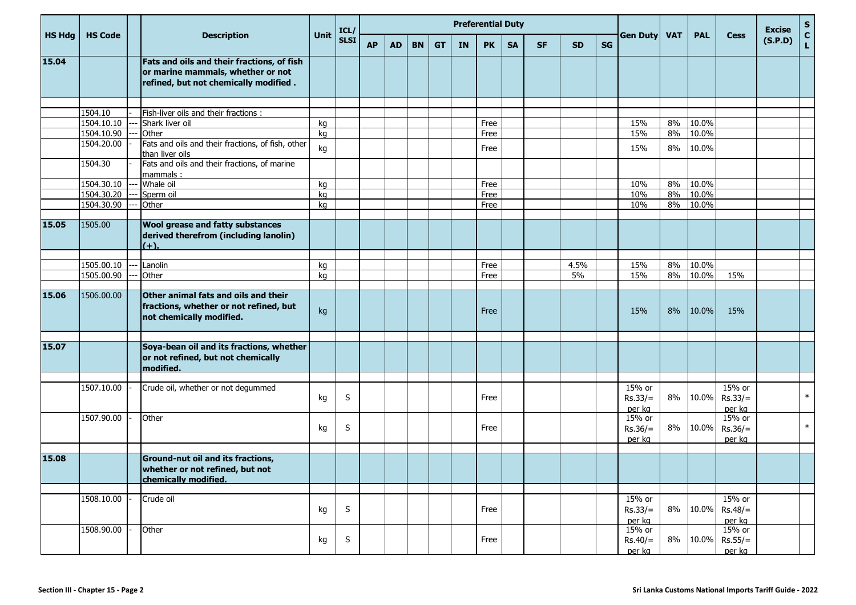| <b>HS Hdg</b> | <b>HS Code</b>           | Unit                                                                                                                     | ICL/     |              |           |           |           |           | <b>Preferential Duty</b> |              |           |           |           | <b>Gen Duty</b> | <b>VAT</b>                              | <b>PAL</b> | <b>Cess</b>    | <b>Excise</b>                 | $\mathsf S$ |               |
|---------------|--------------------------|--------------------------------------------------------------------------------------------------------------------------|----------|--------------|-----------|-----------|-----------|-----------|--------------------------|--------------|-----------|-----------|-----------|-----------------|-----------------------------------------|------------|----------------|-------------------------------|-------------|---------------|
|               |                          | <b>Description</b>                                                                                                       |          | <b>SLSI</b>  | <b>AP</b> | <b>AD</b> | <b>BN</b> | <b>GT</b> | IN                       | <b>PK</b>    | <b>SA</b> | <b>SF</b> | <b>SD</b> | <b>SG</b>       |                                         |            |                |                               | (S.P.D)     | $\frac{c}{L}$ |
| 15.04         |                          | Fats and oils and their fractions, of fish<br>or marine mammals, whether or not<br>refined, but not chemically modified. |          |              |           |           |           |           |                          |              |           |           |           |                 |                                         |            |                |                               |             |               |
|               |                          |                                                                                                                          |          |              |           |           |           |           |                          |              |           |           |           |                 |                                         |            |                |                               |             |               |
|               | 1504.10                  | Fish-liver oils and their fractions :                                                                                    |          |              |           |           |           |           |                          |              |           |           |           |                 |                                         |            |                |                               |             |               |
|               | 1504.10.10               | Shark liver oil                                                                                                          | kg       |              |           |           |           |           |                          | Free         |           |           |           |                 | 15%                                     | 8%         | 10.0%          |                               |             |               |
|               | 1504.10.90<br>1504.20.00 | Other<br>Fats and oils and their fractions, of fish, other<br>than liver oils                                            | kg<br>kg |              |           |           |           |           |                          | Free<br>Free |           |           |           |                 | 15%<br>15%                              | 8%<br>8%   | 10.0%<br>10.0% |                               |             |               |
|               | 1504.30                  | Fats and oils and their fractions, of marine<br>mammals:                                                                 |          |              |           |           |           |           |                          |              |           |           |           |                 |                                         |            |                |                               |             |               |
|               | 1504.30.10               | Whale oil                                                                                                                | kg       |              |           |           |           |           |                          | Free         |           |           |           |                 | 10%                                     | 8%         | 10.0%          |                               |             |               |
|               | 1504.30.20               | Sperm oil                                                                                                                | kg       |              |           |           |           |           |                          | Free         |           |           |           |                 | 10%                                     | 8%         | 10.0%          |                               |             |               |
|               | 1504.30.90               | Other                                                                                                                    | kg       |              |           |           |           |           |                          | Free         |           |           |           |                 | 10%                                     | 8%         | $10.0\%$       |                               |             |               |
|               |                          |                                                                                                                          |          |              |           |           |           |           |                          |              |           |           |           |                 |                                         |            |                |                               |             |               |
| 15.05         | 1505.00                  | <b>Wool grease and fatty substances</b><br>derived therefrom (including lanolin)<br>$(+).$                               |          |              |           |           |           |           |                          |              |           |           |           |                 |                                         |            |                |                               |             |               |
|               |                          |                                                                                                                          |          |              |           |           |           |           |                          |              |           |           |           |                 |                                         |            |                |                               |             |               |
|               | 1505.00.10               | Lanolin                                                                                                                  | kg       |              |           |           |           |           |                          | Free         |           |           | 4.5%      |                 | 15%                                     | 8%         | 10.0%          |                               |             |               |
|               | 1505.00.90               | Other                                                                                                                    | kg       |              |           |           |           |           |                          | Free         |           |           | 5%        |                 | 15%                                     | 8%         | 10.0%          | 15%                           |             |               |
| 15.06         | 1506.00.00               | Other animal fats and oils and their<br>fractions, whether or not refined, but<br>not chemically modified.               | kg       |              |           |           |           |           |                          | Free         |           |           |           |                 | 15%                                     | 8%         | 10.0%          | 15%                           |             |               |
| 15.07         |                          | Soya-bean oil and its fractions, whether<br>or not refined, but not chemically<br>modified.                              |          |              |           |           |           |           |                          |              |           |           |           |                 |                                         |            |                |                               |             |               |
|               | 1507.10.00               | Crude oil, whether or not degummed                                                                                       | kg       | S            |           |           |           |           |                          | Free         |           |           |           |                 | 15% or<br>$Rs.33/=$                     | 8%         | 10.0%          | 15% or<br>$Rs.33/=$<br>per kg |             | $\ast$        |
|               | 1507.90.00               | Other                                                                                                                    | kg       | S            |           |           |           |           |                          | Free         |           |           |           |                 | per kg<br>15% or<br>$Rs.36/=$<br>per kg | 8%         | 10.0%          | 15% or<br>$Rs.36/=$<br>per kg |             | $\ast$        |
| 15.08         |                          | Ground-nut oil and its fractions,<br>whether or not refined, but not<br>chemically modified.                             |          |              |           |           |           |           |                          |              |           |           |           |                 |                                         |            |                |                               |             |               |
|               | 1508.10.00               | Crude oil                                                                                                                | kg       | $\mathsf{S}$ |           |           |           |           |                          | Free         |           |           |           |                 | 15% or<br>$Rs.33/=$<br>per kg           | 8%         | 10.0%          | 15% or<br>$Rs.48/=$<br>per kg |             |               |
|               | 1508.90.00               | Other                                                                                                                    | kg       | S            |           |           |           |           |                          | Free         |           |           |           |                 | 15% or<br>$Rs.40/=$<br>per ka           | 8%         | 10.0%          | 15% or<br>$Rs.55/=$<br>per ka |             |               |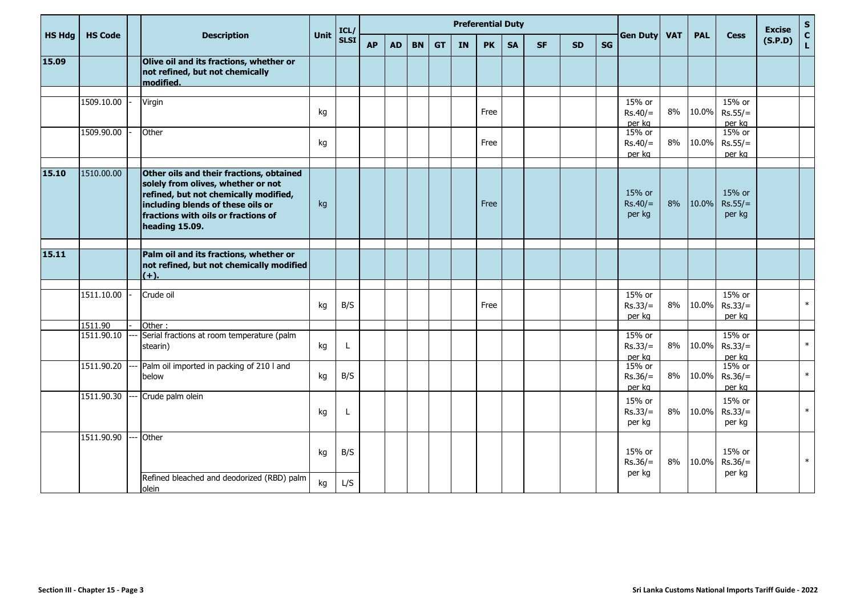|               |                |                                                                                                                                                                                                                       |      | ICL/        |           |           |           |           |           | <b>Preferential Duty</b> |           |           |           |    |                               |            |            |                               | <b>Excise</b> |             |
|---------------|----------------|-----------------------------------------------------------------------------------------------------------------------------------------------------------------------------------------------------------------------|------|-------------|-----------|-----------|-----------|-----------|-----------|--------------------------|-----------|-----------|-----------|----|-------------------------------|------------|------------|-------------------------------|---------------|-------------|
| <b>HS Hdg</b> | <b>HS Code</b> | <b>Description</b>                                                                                                                                                                                                    | Unit | <b>SLSI</b> | <b>AP</b> | <b>AD</b> | <b>BN</b> | <b>GT</b> | <b>IN</b> | <b>PK</b>                | <b>SA</b> | <b>SF</b> | <b>SD</b> | SG | <b>Gen Duty</b>               | <b>VAT</b> | <b>PAL</b> | <b>Cess</b>                   | (S.P.D)       | S<br>C<br>L |
| 15.09         |                | Olive oil and its fractions, whether or<br>not refined, but not chemically<br>modified.                                                                                                                               |      |             |           |           |           |           |           |                          |           |           |           |    |                               |            |            |                               |               |             |
|               | 1509.10.00     | Virgin                                                                                                                                                                                                                | kg   |             |           |           |           |           |           | Free                     |           |           |           |    | 15% or<br>$Rs.40/=$<br>per kg | 8%         | 10.0%      | 15% or<br>$Rs.55/=$<br>per kg |               |             |
|               | 1509.90.00     | Other                                                                                                                                                                                                                 | kg   |             |           |           |           |           |           | Free                     |           |           |           |    | 15% or<br>$Rs.40/=$<br>per kg | 8%         | 10.0%      | 15% or<br>$Rs.55/=$<br>per kg |               |             |
| 15.10         | 1510.00.00     | Other oils and their fractions, obtained<br>solely from olives, whether or not<br>refined, but not chemically modified,<br>including blends of these oils or<br>fractions with oils or fractions of<br>heading 15.09. | kg   |             |           |           |           |           |           | Free                     |           |           |           |    | 15% or<br>$Rs.40/=$<br>per kg | 8%         | 10.0%      | 15% or<br>$Rs.55/=$<br>per kg |               |             |
| 15.11         |                | Palm oil and its fractions, whether or<br>not refined, but not chemically modified<br>$(+)$                                                                                                                           |      |             |           |           |           |           |           |                          |           |           |           |    |                               |            |            |                               |               |             |
|               | 1511.10.00     | Crude oil                                                                                                                                                                                                             | kg   | B/S         |           |           |           |           |           | Free                     |           |           |           |    | 15% or<br>$Rs.33/=$<br>per kg | 8%         | 10.0%      | 15% or<br>$Rs.33/=$<br>per kg |               | $\ast$      |
|               | 1511.90        | Other:                                                                                                                                                                                                                |      |             |           |           |           |           |           |                          |           |           |           |    |                               |            |            |                               |               |             |
|               | 1511.90.10     | Serial fractions at room temperature (palm<br>stearin)                                                                                                                                                                | kg   |             |           |           |           |           |           |                          |           |           |           |    | 15% or<br>$Rs.33/=$<br>per kg | 8%         | 10.0%      | 15% or<br>$Rs.33/=$<br>per kg |               | $\ast$      |
|               | 1511.90.20     | Palm oil imported in packing of 210 I and<br>below                                                                                                                                                                    | kg   | B/S         |           |           |           |           |           |                          |           |           |           |    | 15% or<br>$Rs.36/=$<br>per kg | 8%         | 10.0%      | 15% or<br>$Rs.36/=$<br>per kg |               | $\ast$      |
|               | 1511.90.30     | Crude palm olein                                                                                                                                                                                                      | kg   |             |           |           |           |           |           |                          |           |           |           |    | 15% or<br>$Rs.33/=$<br>per kg | 8%         | 10.0%      | 15% or<br>$Rs.33/=$<br>per kg |               | $\ast$      |
|               | 1511.90.90     | Other                                                                                                                                                                                                                 | kg   | B/S         |           |           |           |           |           |                          |           |           |           |    | 15% or<br>$Rs.36/=$           | 8%         | 10.0%      | 15% or<br>$Rs.36/=$           |               | $\ast$      |
|               |                | Refined bleached and deodorized (RBD) palm<br>olein                                                                                                                                                                   | kg   | L/S         |           |           |           |           |           |                          |           |           |           |    | per kg                        |            |            | per kg                        |               |             |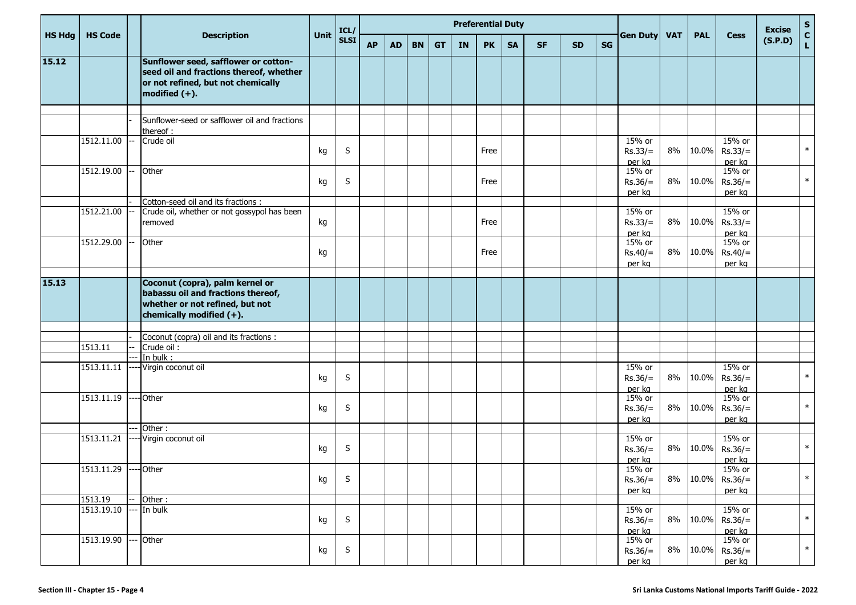|               |                        |                                                                                                                                           |      |              |           |           |           |           |           | <b>Preferential Duty</b> |           |           |           |           |                               |            |            |                                      | <b>Excise</b> | $S_{C}$     |
|---------------|------------------------|-------------------------------------------------------------------------------------------------------------------------------------------|------|--------------|-----------|-----------|-----------|-----------|-----------|--------------------------|-----------|-----------|-----------|-----------|-------------------------------|------------|------------|--------------------------------------|---------------|-------------|
| <b>HS Hdg</b> | <b>HS Code</b>         | <b>Description</b>                                                                                                                        | Unit | ICL/<br>SLSI | <b>AP</b> | <b>AD</b> | <b>BN</b> | <b>GT</b> | <b>IN</b> | <b>PK</b>                | <b>SA</b> | <b>SF</b> | <b>SD</b> | <b>SG</b> | <b>Gen Duty</b>               | <b>VAT</b> | <b>PAL</b> | <b>Cess</b>                          | (S.P.D)       | $\mathbf L$ |
| 15.12         |                        | Sunflower seed, safflower or cotton-<br>seed oil and fractions thereof, whether<br>or not refined, but not chemically<br>modified $(+)$ . |      |              |           |           |           |           |           |                          |           |           |           |           |                               |            |            |                                      |               |             |
|               |                        |                                                                                                                                           |      |              |           |           |           |           |           |                          |           |           |           |           |                               |            |            |                                      |               |             |
|               |                        | Sunflower-seed or safflower oil and fractions<br>thereof:                                                                                 |      |              |           |           |           |           |           |                          |           |           |           |           |                               |            |            |                                      |               |             |
|               | 1512.11.00             | Crude oil                                                                                                                                 | kg   | S            |           |           |           |           |           | Free                     |           |           |           |           | 15% or<br>$Rs.33/=$<br>per kg | 8%         | 10.0%      | 15% or<br>$Rs.33/=$<br>per kg        |               | $\ast$      |
|               | 1512.19.00             | Other                                                                                                                                     | kg   | S            |           |           |           |           |           | Free                     |           |           |           |           | 15% or<br>$Rs.36/=$<br>per kg | 8%         | 10.0%      | 15% or<br>$Rs.36/=$<br>per kg        |               | $\ast$      |
|               |                        | Cotton-seed oil and its fractions :                                                                                                       |      |              |           |           |           |           |           |                          |           |           |           |           |                               |            |            |                                      |               |             |
|               | 1512.21.00             | Crude oil, whether or not gossypol has been<br>removed                                                                                    | kg   |              |           |           |           |           |           | Free                     |           |           |           |           | 15% or<br>$Rs.33/=$<br>per kg | 8%         | 10.0%      | 15% or<br>$Rs.33/=$<br>per kg        |               |             |
|               | 1512.29.00             | Other                                                                                                                                     | kg   |              |           |           |           |           |           | Free                     |           |           |           |           | 15% or<br>$Rs.40/=$<br>per kg | 8%         | 10.0%      | 15% or<br>$Rs.40/=$<br>per kg        |               |             |
| 15.13         |                        | Coconut (copra), palm kernel or<br>babassu oil and fractions thereof,<br>whether or not refined, but not<br>chemically modified (+).      |      |              |           |           |           |           |           |                          |           |           |           |           |                               |            |            |                                      |               |             |
|               |                        |                                                                                                                                           |      |              |           |           |           |           |           |                          |           |           |           |           |                               |            |            |                                      |               |             |
|               |                        | Coconut (copra) oil and its fractions :                                                                                                   |      |              |           |           |           |           |           |                          |           |           |           |           |                               |            |            |                                      |               |             |
|               | 1513.11                | Crude oil:                                                                                                                                |      |              |           |           |           |           |           |                          |           |           |           |           |                               |            |            |                                      |               |             |
|               | 1513.11.11             | In bulk:<br>Virgin coconut oil                                                                                                            | kg   | S            |           |           |           |           |           |                          |           |           |           |           | 15% or<br>$Rs.36/=$<br>per kg | 8%         | 10.0%      | 15% or<br>$Rs.36/=$<br>per kg        |               | $\ast$      |
|               | 1513.11.19             | Other                                                                                                                                     | kg   | S            |           |           |           |           |           |                          |           |           |           |           | 15% or<br>$Rs.36/=$<br>per kg | 8%         | 10.0%      | 15% or<br>$Rs.36/=$<br>per kg        |               | $\ast$      |
|               |                        | Other:                                                                                                                                    |      |              |           |           |           |           |           |                          |           |           |           |           |                               |            |            |                                      |               |             |
|               | 1513.11.21             | Virgin coconut oil                                                                                                                        | kg   | $\sf S$      |           |           |           |           |           |                          |           |           |           |           | 15% or<br>$Rs.36/=$<br>per kg | 8%         | 10.0%      | 15% or<br>$Rs.36/=$<br>per kg        |               | $\ast$      |
|               | 1513.11.29 ---- Other  |                                                                                                                                           | kg   | S            |           |           |           |           |           |                          |           |           |           |           | 15% or<br>$Rs.36/=$<br>per kg |            |            | 15% or<br>8% 10.0% Rs.36/=<br>per kg |               | $\ast$      |
|               | 1513.19                | Other:                                                                                                                                    |      |              |           |           |           |           |           |                          |           |           |           |           |                               |            |            |                                      |               |             |
|               | 1513.19.10 --- In bulk |                                                                                                                                           | kg   | S            |           |           |           |           |           |                          |           |           |           |           | 15% or<br>$Rs.36/=$<br>per kg |            | 8% 10.0%   | 15% or<br>$Rs.36/=$<br>per kg        |               | $\ast$      |
|               | 1513.19.90             | Other                                                                                                                                     | kg   | S            |           |           |           |           |           |                          |           |           |           |           | 15% or<br>$Rs.36/=$<br>per kg |            | 8% 10.0%   | 15% or<br>$Rs.36/=$<br>per kg        |               | $\ast$      |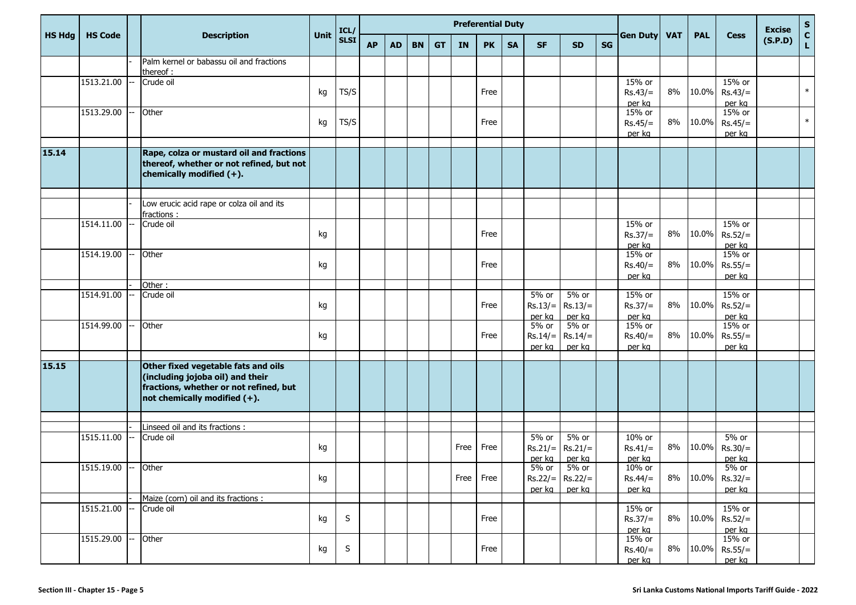|               |                     |  |                                                                                                                                                      | ICL/        |             |           |           |           |           | <b>Preferential Duty</b> |           |           |                               |                              |           |                     |            |            | <b>Excise</b>              |         |             |
|---------------|---------------------|--|------------------------------------------------------------------------------------------------------------------------------------------------------|-------------|-------------|-----------|-----------|-----------|-----------|--------------------------|-----------|-----------|-------------------------------|------------------------------|-----------|---------------------|------------|------------|----------------------------|---------|-------------|
| <b>HS Hdg</b> | <b>HS Code</b>      |  | <b>Description</b>                                                                                                                                   | <b>Unit</b> | <b>SLSI</b> | <b>AP</b> | <b>AD</b> | <b>BN</b> | <b>GT</b> | IN                       | <b>PK</b> | <b>SA</b> | <b>SF</b>                     | <b>SD</b>                    | <b>SG</b> | <b>Gen Duty</b>     | <b>VAT</b> | <b>PAL</b> | <b>Cess</b>                | (S.P.D) | S<br>C<br>L |
|               |                     |  | Palm kernel or babassu oil and fractions<br>thereof :                                                                                                |             |             |           |           |           |           |                          |           |           |                               |                              |           |                     |            |            |                            |         |             |
|               | 1513.21.00          |  | Crude oil                                                                                                                                            |             |             |           |           |           |           |                          |           |           |                               |                              |           | 15% or              |            |            | 15% or                     |         |             |
|               |                     |  |                                                                                                                                                      | kg          | TS/S        |           |           |           |           |                          | Free      |           |                               |                              |           | $Rs.43/=$           | 8%         | 10.0%      | $Rs.43/=$                  |         | $\ast$      |
|               |                     |  |                                                                                                                                                      |             |             |           |           |           |           |                          |           |           |                               |                              |           | per kg              |            |            | per kg<br>15% or           |         |             |
|               | 1513.29.00          |  | Other                                                                                                                                                | kg          | TS/S        |           |           |           |           |                          | Free      |           |                               |                              |           | 15% or<br>$Rs.45/=$ | 8%         | 10.0%      | $Rs.45/=$                  |         | $\ast$      |
|               |                     |  |                                                                                                                                                      |             |             |           |           |           |           |                          |           |           |                               |                              |           | per kg              |            |            | per kg                     |         |             |
|               |                     |  |                                                                                                                                                      |             |             |           |           |           |           |                          |           |           |                               |                              |           |                     |            |            |                            |         |             |
| 15.14         |                     |  | Rape, colza or mustard oil and fractions<br>thereof, whether or not refined, but not<br>chemically modified (+).                                     |             |             |           |           |           |           |                          |           |           |                               |                              |           |                     |            |            |                            |         |             |
|               |                     |  |                                                                                                                                                      |             |             |           |           |           |           |                          |           |           |                               |                              |           |                     |            |            |                            |         |             |
|               |                     |  | Low erucic acid rape or colza oil and its<br>fractions :                                                                                             |             |             |           |           |           |           |                          |           |           |                               |                              |           |                     |            |            |                            |         |             |
|               | 1514.11.00          |  | Crude oil                                                                                                                                            |             |             |           |           |           |           |                          |           |           |                               |                              |           | 15% or              |            |            | 15% or                     |         |             |
|               |                     |  |                                                                                                                                                      | kg          |             |           |           |           |           |                          | Free      |           |                               |                              |           | $Rs.37/=$           | 8%         | 10.0%      | $Rs.52/=$                  |         |             |
|               |                     |  |                                                                                                                                                      |             |             |           |           |           |           |                          |           |           |                               |                              |           | per kg              |            |            | per kg                     |         |             |
|               | 1514.19.00          |  | Other                                                                                                                                                |             |             |           |           |           |           |                          | Free      |           |                               |                              |           | 15% or              | 8%         | 10.0%      | 15% or                     |         |             |
|               |                     |  |                                                                                                                                                      | kg          |             |           |           |           |           |                          |           |           |                               |                              |           | $Rs.40/=$<br>per kg |            |            | $Rs.55/=$<br>per kg        |         |             |
|               |                     |  | Other:                                                                                                                                               |             |             |           |           |           |           |                          |           |           |                               |                              |           |                     |            |            |                            |         |             |
|               | 1514.91.00          |  | Crude oil                                                                                                                                            |             |             |           |           |           |           |                          |           |           | $5%$ or                       | 5% or                        |           | 15% or              |            |            | 15% or                     |         |             |
|               |                     |  |                                                                                                                                                      | kg          |             |           |           |           |           |                          | Free      |           | $Rs.13/=$                     | $Rs.13/=$                    |           | $Rs.37/=$           | $8\%$      | 10.0%      | $Rs.52/=$                  |         |             |
|               | 1514.99.00          |  | Other                                                                                                                                                |             |             |           |           |           |           |                          |           |           | per ka<br>$\overline{5\%}$ or | per kg<br>5% or              |           | per kg<br>15% or    |            |            | per kg<br>15% or           |         |             |
|               |                     |  |                                                                                                                                                      | kg          |             |           |           |           |           |                          | Free      |           | $Rs.14/=$                     | $Rs.14/=$                    |           | $Rs.40/=$           | 8%         | 10.0%      | $Rs.55/=$                  |         |             |
|               |                     |  |                                                                                                                                                      |             |             |           |           |           |           |                          |           |           | per kg                        | per kg                       |           | per kg              |            |            | per kg                     |         |             |
|               |                     |  |                                                                                                                                                      |             |             |           |           |           |           |                          |           |           |                               |                              |           |                     |            |            |                            |         |             |
| 15.15         |                     |  | Other fixed vegetable fats and oils<br>(including jojoba oil) and their<br>fractions, whether or not refined, but<br>not chemically modified $(+)$ . |             |             |           |           |           |           |                          |           |           |                               |                              |           |                     |            |            |                            |         |             |
|               |                     |  | Linseed oil and its fractions :                                                                                                                      |             |             |           |           |           |           |                          |           |           |                               |                              |           |                     |            |            |                            |         |             |
|               | 1515.11.00          |  | Crude oil                                                                                                                                            |             |             |           |           |           |           |                          |           |           | 5% or                         | 5% or                        |           | 10% or              |            |            | 5% or                      |         |             |
|               |                     |  |                                                                                                                                                      | kg          |             |           |           |           |           | Free                     | Free      |           | $Rs.21/=$                     | $Rs.21/=$                    |           | $Rs.41/=$           | 8%         | 10.0%      | $Rs.30/=$                  |         |             |
|               |                     |  |                                                                                                                                                      |             |             |           |           |           |           |                          |           |           | per kg                        | per kg                       |           | per kg              |            |            | per kg                     |         |             |
|               | 1515.19.00 -- Other |  |                                                                                                                                                      |             |             |           |           |           |           |                          |           |           | 5% or                         | 5% or                        |           | 10% or              |            |            | 5% or                      |         |             |
|               |                     |  |                                                                                                                                                      | kg          |             |           |           |           |           |                          | Free Free |           | per kg                        | $Rs.22/ =$ Rs.22/=<br>per kg |           | $Rs.44/=$           |            |            | 8% 10.0% Rs.32/=<br>per kg |         |             |
|               |                     |  | Maize (corn) oil and its fractions :                                                                                                                 |             |             |           |           |           |           |                          |           |           |                               |                              |           | per kg              |            |            |                            |         |             |
|               | 1515.21.00          |  | Crude oil                                                                                                                                            |             |             |           |           |           |           |                          |           |           |                               |                              |           | 15% or              |            |            | 15% or                     |         |             |
|               |                     |  |                                                                                                                                                      | kg          | S           |           |           |           |           |                          | Free      |           |                               |                              |           | $Rs.37/=$           |            |            | $8\%$   10.0%   Rs.52/=    |         |             |
|               |                     |  | Other                                                                                                                                                |             |             |           |           |           |           |                          |           |           |                               |                              |           | per kg              |            |            | per kg                     |         |             |
|               | 1515.29.00          |  |                                                                                                                                                      | kg          | S           |           |           |           |           |                          | Free      |           |                               |                              |           | 15% or<br>$Rs.40/=$ | 8%         |            | 15% or<br>$10.0\%$ Rs.55/= |         |             |
|               |                     |  |                                                                                                                                                      |             |             |           |           |           |           |                          |           |           |                               |                              |           | per kg              |            |            | per kg                     |         |             |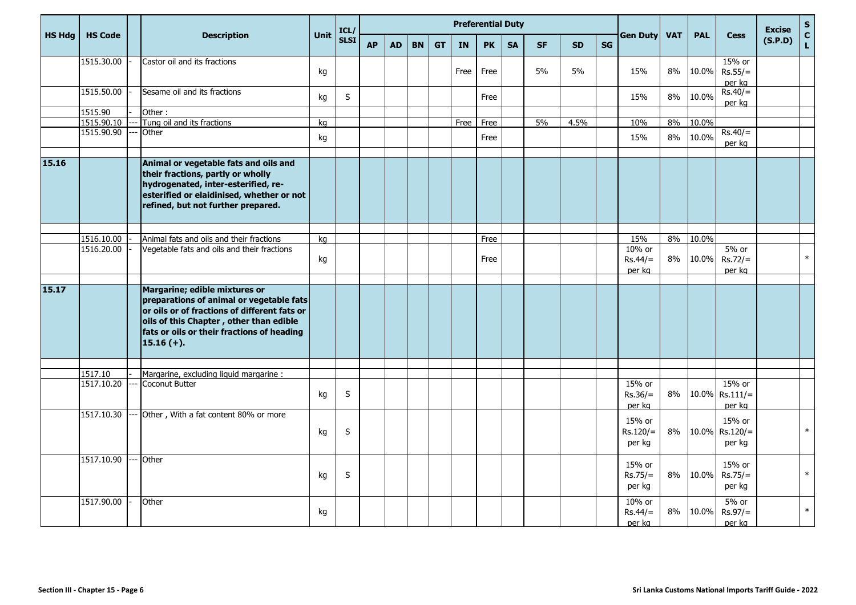|               |                       |                                                                                                                                                                                                                                    |      | ICL/        |           |           |           |           |           | <b>Preferential Duty</b> |           |           |           |           |                                |            |            |                                | <b>Excise</b> | $\mathsf{s}$                 |
|---------------|-----------------------|------------------------------------------------------------------------------------------------------------------------------------------------------------------------------------------------------------------------------------|------|-------------|-----------|-----------|-----------|-----------|-----------|--------------------------|-----------|-----------|-----------|-----------|--------------------------------|------------|------------|--------------------------------|---------------|------------------------------|
| <b>HS Hdg</b> | <b>HS Code</b>        | <b>Description</b>                                                                                                                                                                                                                 | Unit | <b>SLSI</b> | <b>AP</b> | <b>AD</b> | <b>BN</b> | <b>GT</b> | <b>IN</b> | <b>PK</b>                | <b>SA</b> | <b>SF</b> | <b>SD</b> | <b>SG</b> | Gen Duty                       | <b>VAT</b> | <b>PAL</b> | <b>Cess</b>                    | (S.P.D)       | $\mathbf{c}$<br>$\mathbf{L}$ |
|               | 1515.30.00            | Castor oil and its fractions                                                                                                                                                                                                       | kg   |             |           |           |           |           | Free      | Free                     |           | 5%        | 5%        |           | 15%                            | 8%         | 10.0%      | 15% or<br>$Rs.55/=$<br>per kg  |               |                              |
|               | 1515.50.00            | Sesame oil and its fractions                                                                                                                                                                                                       | kg   | S           |           |           |           |           |           | Free                     |           |           |           |           | 15%                            | 8%         | 10.0%      | $Rs.40/=$<br>per kg            |               |                              |
|               | 1515.90               | Other:                                                                                                                                                                                                                             |      |             |           |           |           |           |           |                          |           |           |           |           |                                |            |            |                                |               |                              |
|               | 1515.90.10            | Tung oil and its fractions                                                                                                                                                                                                         | kg   |             |           |           |           |           | Free      | Free                     |           | 5%        | 4.5%      |           | 10%                            | 8%         | 10.0%      |                                |               |                              |
|               | 1515.90.90            | Other                                                                                                                                                                                                                              | kg   |             |           |           |           |           |           | Free                     |           |           |           |           | 15%                            | 8%         | 10.0%      | $Rs.40/=$<br>per kg            |               |                              |
| 15.16         |                       | Animal or vegetable fats and oils and<br>their fractions, partly or wholly<br>hydrogenated, inter-esterified, re-<br>esterified or elaidinised, whether or not<br>refined, but not further prepared.                               |      |             |           |           |           |           |           |                          |           |           |           |           |                                |            |            |                                |               |                              |
|               | 1516.10.00            | Animal fats and oils and their fractions                                                                                                                                                                                           | kg   |             |           |           |           |           |           | Free                     |           |           |           |           | 15%                            | 8%         | 10.0%      |                                |               |                              |
|               | 1516.20.00            | Vegetable fats and oils and their fractions                                                                                                                                                                                        | kg   |             |           |           |           |           |           | Free                     |           |           |           |           | 10% or<br>$Rs.44/=$<br>per kg  | 8%         | 10.0%      | 5% or<br>$Rs.72/=$<br>per kg   |               | $\ast$                       |
| 15.17         |                       | Margarine; edible mixtures or<br>preparations of animal or vegetable fats<br>or oils or of fractions of different fats or<br>oils of this Chapter, other than edible<br>fats or oils or their fractions of heading<br>$15.16 (+).$ |      |             |           |           |           |           |           |                          |           |           |           |           |                                |            |            |                                |               |                              |
|               |                       |                                                                                                                                                                                                                                    |      |             |           |           |           |           |           |                          |           |           |           |           |                                |            |            |                                |               |                              |
|               | 1517.10<br>1517.10.20 | Margarine, excluding liquid margarine :<br><b>Coconut Butter</b>                                                                                                                                                                   | kg   | S           |           |           |           |           |           |                          |           |           |           |           | 15% or<br>$Rs.36/=$<br>per kg  | 8%         | 10.0%      | 15% or<br>$Rs.111/=$<br>per kg |               |                              |
|               | 1517.10.30            | Other, With a fat content 80% or more                                                                                                                                                                                              | kg   | S           |           |           |           |           |           |                          |           |           |           |           | 15% or<br>$Rs.120/=$<br>per kg | 8%         | 10.0%      | 15% or<br>$Rs.120/=$<br>per kg |               | $\ast$                       |
|               | 1517.10.90            | Other                                                                                                                                                                                                                              | kg   | $\sf S$     |           |           |           |           |           |                          |           |           |           |           | 15% or<br>$Rs.75/=$<br>per kg  | $8\%$      | 10.0%      | 15% or<br>$Rs.75/=$<br>per kg  |               | $\ast$                       |
|               | 1517.90.00            | Other                                                                                                                                                                                                                              | kg   |             |           |           |           |           |           |                          |           |           |           |           | 10% or<br>$Rs.44/=$<br>per kg  | 8%         | 10.0%      | 5% or<br>$Rs.97/=$<br>per kg   |               | $\ast$                       |